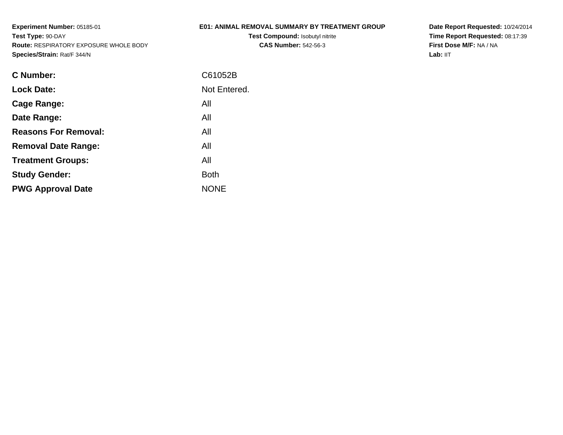# **E01: ANIMAL REMOVAL SUMMARY BY TREATMENT GROUP**

**Test Compound:** Isobutyl nitrite**CAS Number:** 542-56-3

**Date Report Requested:** 10/24/2014 **Time Report Requested:** 08:17:39**First Dose M/F:** NA / NA**Lab:** IIT

| <b>Lock Date:</b><br>All<br>Cage Range:<br>All<br>Date Range:<br><b>Reasons For Removal:</b><br>All<br>All<br><b>Removal Date Range:</b><br>All<br><b>Treatment Groups:</b><br><b>Study Gender:</b><br><b>Both</b><br><b>NONE</b><br><b>PWG Approval Date</b> | C Number: | C61052B      |
|---------------------------------------------------------------------------------------------------------------------------------------------------------------------------------------------------------------------------------------------------------------|-----------|--------------|
|                                                                                                                                                                                                                                                               |           | Not Entered. |
|                                                                                                                                                                                                                                                               |           |              |
|                                                                                                                                                                                                                                                               |           |              |
|                                                                                                                                                                                                                                                               |           |              |
|                                                                                                                                                                                                                                                               |           |              |
|                                                                                                                                                                                                                                                               |           |              |
|                                                                                                                                                                                                                                                               |           |              |
|                                                                                                                                                                                                                                                               |           |              |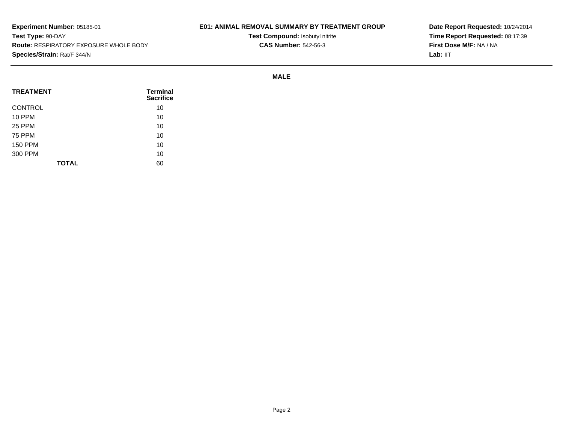# **E01: ANIMAL REMOVAL SUMMARY BY TREATMENT GROUP**

**Test Compound:** Isobutyl nitrite**CAS Number:** 542-56-3

**Date Report Requested:** 10/24/2014**Time Report Requested:** 08:17:39**First Dose M/F:** NA / NA**Lab:** IIT

#### **MALE**

| <b>TREATMENT</b> | Terminal<br><b>Sacrifice</b> |
|------------------|------------------------------|
| CONTROL          | 10                           |
| <b>10 PPM</b>    | 10                           |
| <b>25 PPM</b>    | 10                           |
| <b>75 PPM</b>    | 10                           |
| <b>150 PPM</b>   | 10                           |
| 300 PPM          | 10                           |
| <b>TOTAL</b>     | 60                           |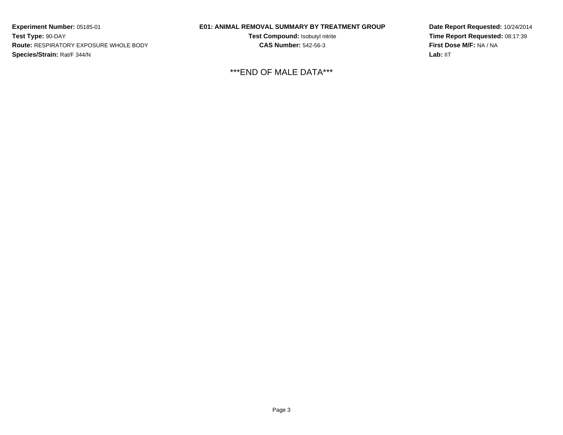### **E01: ANIMAL REMOVAL SUMMARY BY TREATMENT GROUP**

**Test Compound:** Isobutyl nitrite**CAS Number:** 542-56-3

\*\*\*END OF MALE DATA\*\*\*

**Date Report Requested:** 10/24/2014**Time Report Requested:** 08:17:39**First Dose M/F:** NA / NA**Lab:** IIT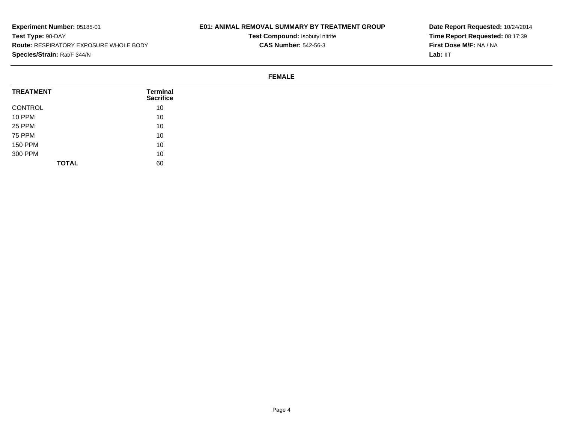# **E01: ANIMAL REMOVAL SUMMARY BY TREATMENT GROUP**

**Test Compound:** Isobutyl nitrite**CAS Number:** 542-56-3

**Date Report Requested:** 10/24/2014**Time Report Requested:** 08:17:39**First Dose M/F:** NA / NA**Lab:** IIT

#### **FEMALE**

| <b>TREATMENT</b> | Terminal<br><b>Sacrifice</b> |  |
|------------------|------------------------------|--|
| CONTROL          | 10                           |  |
| <b>10 PPM</b>    | 10                           |  |
| 25 PPM           | 10                           |  |
| 75 PPM           | 10                           |  |
| <b>150 PPM</b>   | 10                           |  |
| 300 PPM          | 10                           |  |
| <b>TOTAL</b>     | 60                           |  |